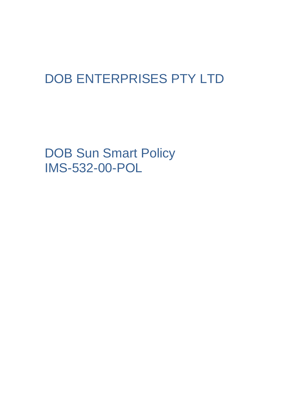# DOB ENTERPRISES PTY LTD

DOB Sun Smart Policy IMS-532-00-POL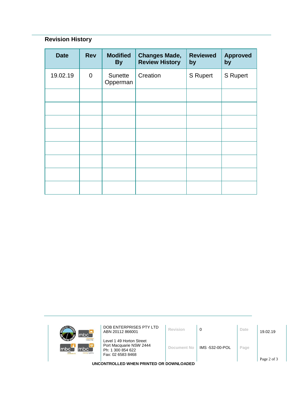## **Revision History**

| <b>Date</b> | <b>Rev</b>     | <b>Modified</b><br><b>By</b> | <b>Changes Made,</b><br><b>Review History</b> | <b>Reviewed</b><br>by | <b>Approved</b><br>by |
|-------------|----------------|------------------------------|-----------------------------------------------|-----------------------|-----------------------|
| 19.02.19    | $\overline{0}$ | Sunette<br>Opperman          | Creation                                      | <b>S</b> Rupert       | <b>S</b> Rupert       |
|             |                |                              |                                               |                       |                       |
|             |                |                              |                                               |                       |                       |
|             |                |                              |                                               |                       |                       |
|             |                |                              |                                               |                       |                       |
|             |                |                              |                                               |                       |                       |
|             |                |                              |                                               |                       |                       |
|             |                |                              |                                               |                       |                       |
|             |                |                              |                                               |                       |                       |

| mbc <sup>-</sup>                                                        | DOB ENTERPRISES PTY LTD<br>ABN 20112 866001                                                   | Revision    | 0               | Date | 19.02.19 |  |  |  |
|-------------------------------------------------------------------------|-----------------------------------------------------------------------------------------------|-------------|-----------------|------|----------|--|--|--|
| <b>Icloour hire</b><br>mbc`<br>Imbc<br>m <sub>k</sub><br>sursing agency | Level 1 49 Horton Street<br>Port Macquarie NSW 2444<br>Ph: 1 300 854 622<br>Fax: 02 6583 8468 | Document No | IMS -532-00-POL | Page |          |  |  |  |
| Page 2 of 3<br>UNCONTROLLED WHEN PRINTED OR DOWNLOADED                  |                                                                                               |             |                 |      |          |  |  |  |